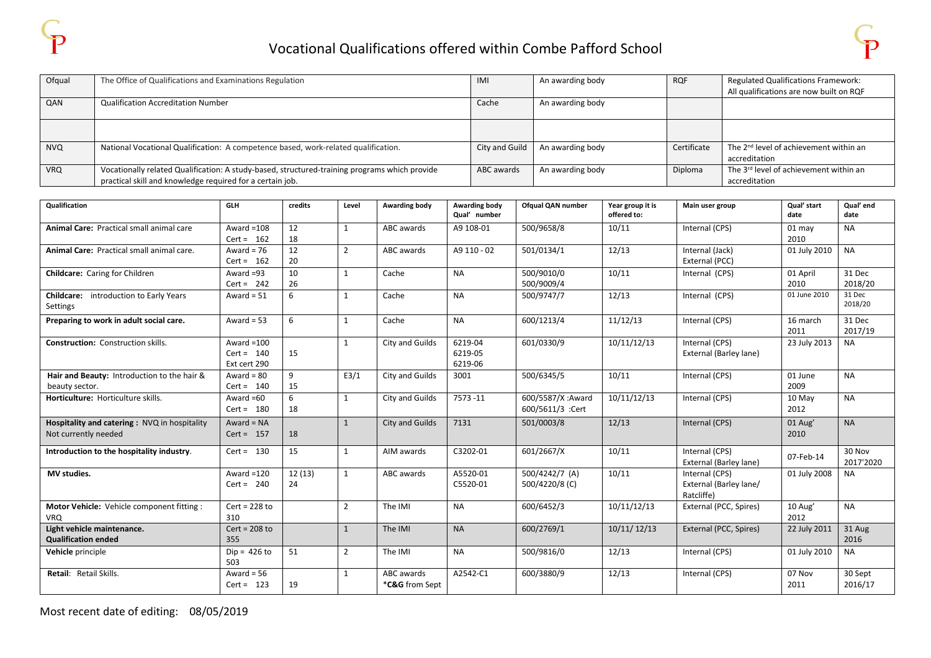| Ofqual     | The Office of Qualifications and Examinations Regulation                                      | IMI            | An awarding body | <b>RQF</b>  | <b>Regulated Qualifications Framework:</b>         |
|------------|-----------------------------------------------------------------------------------------------|----------------|------------------|-------------|----------------------------------------------------|
|            |                                                                                               |                |                  |             | All qualifications are now built on RQF            |
| QAN        | <b>Qualification Accreditation Number</b>                                                     | Cache          | An awarding body |             |                                                    |
|            |                                                                                               |                |                  |             |                                                    |
|            |                                                                                               |                |                  |             |                                                    |
|            |                                                                                               |                |                  |             |                                                    |
| <b>NVQ</b> | National Vocational Qualification: A competence based, work-related qualification.            | City and Guild | An awarding body | Certificate | The 2 <sup>nd</sup> level of achievement within an |
|            |                                                                                               |                |                  |             | accreditation                                      |
| <b>VRQ</b> | Vocationally related Qualification: A study-based, structured-training programs which provide | ABC awards     | An awarding body | Diploma     | The 3 <sup>rd</sup> level of achievement within an |
|            | practical skill and knowledge required for a certain job.                                     |                |                  |             | accreditation                                      |

| <b>Qualification</b>                                                 | <b>GLH</b>                                   | credits      | Level          | Awarding body                | Awarding body<br>Qual' number | Ofqual QAN number                     | Year group it is<br>offered to: | Main user group                                        | Qual' start<br>date | Qual' end<br>date   |
|----------------------------------------------------------------------|----------------------------------------------|--------------|----------------|------------------------------|-------------------------------|---------------------------------------|---------------------------------|--------------------------------------------------------|---------------------|---------------------|
| Animal Care: Practical small animal care                             | Award $=108$<br>Cert = $162$                 | 12<br>18     | $\mathbf{1}$   | ABC awards                   | A9 108-01                     | 500/9658/8                            | 10/11                           | Internal (CPS)                                         | $01$ may<br>2010    | <b>NA</b>           |
| Animal Care: Practical small animal care.                            | Award = $76$<br>Cert = $162$                 | 12<br>20     | $\overline{2}$ | ABC awards                   | A9 110 - 02                   | 501/0134/1                            | 12/13                           | Internal (Jack)<br>External (PCC)                      | 01 July 2010        | <b>NA</b>           |
| Childcare: Caring for Children                                       | Award $=93$<br>$Cert = 242$                  | 10<br>26     | $\mathbf{1}$   | Cache                        | <b>NA</b>                     | 500/9010/0<br>500/9009/4              | 10/11                           | Internal (CPS)                                         | 01 April<br>2010    | 31 Dec<br>2018/20   |
| <b>Childcare:</b> introduction to Early Years<br>Settings            | Award = $51$                                 | 6            | $\mathbf{1}$   | Cache                        | <b>NA</b>                     | 500/9747/7                            | 12/13                           | Internal (CPS)                                         | 01 June 2010        | 31 Dec<br>2018/20   |
| Preparing to work in adult social care.                              | Award = $53$                                 | 6            | 1              | Cache                        | <b>NA</b>                     | 600/1213/4                            | 11/12/13                        | Internal (CPS)                                         | 16 march<br>2011    | 31 Dec<br>2017/19   |
| <b>Construction: Construction skills.</b>                            | Award $=100$<br>$Cert = 140$<br>Ext cert 290 | 15           | 1              | City and Guilds              | 6219-04<br>6219-05<br>6219-06 | 601/0330/9                            | 10/11/12/13                     | Internal (CPS)<br>External (Barley lane)               | 23 July 2013        | <b>NA</b>           |
| Hair and Beauty: Introduction to the hair &<br>beauty sector.        | Award = $80$<br>$Cert = 140$                 | 9<br>15      | E3/1           | City and Guilds              | 3001                          | 500/6345/5                            | 10/11                           | Internal (CPS)                                         | 01 June<br>2009     | <b>NA</b>           |
| Horticulture: Horticulture skills.                                   | Award $=60$<br>$Cert = 180$                  | 6<br>18      | $\mathbf{1}$   | City and Guilds              | 7573-11                       | 600/5587/X :Award<br>600/5611/3 :Cert | 10/11/12/13                     | Internal (CPS)                                         | 10 May<br>2012      | <b>NA</b>           |
| Hospitality and catering: NVQ in hospitality<br>Not currently needed | Award = $NA$<br>$Cert = 157$                 | 18           | $\mathbf{1}$   | City and Guilds              | 7131                          | 501/0003/8                            | 12/13                           | Internal (CPS)                                         | 01 Aug'<br>2010     | <b>NA</b>           |
| Introduction to the hospitality industry.                            | Cert = $130$                                 | 15           | $\mathbf{1}$   | AIM awards                   | C3202-01                      | 601/2667/X                            | 10/11                           | Internal (CPS)<br>External (Barley lane)               | 07-Feb-14           | 30 Nov<br>2017'2020 |
| MV studies.                                                          | Award $=120$<br>$Cert = 240$                 | 12(13)<br>24 | 1              | ABC awards                   | A5520-01<br>C5520-01          | 500/4242/7 (A)<br>500/4220/8 (C)      | 10/11                           | Internal (CPS)<br>External (Barley lane/<br>Ratcliffe) | 01 July 2008        | <b>NA</b>           |
| Motor Vehicle: Vehicle component fitting :<br><b>VRQ</b>             | $Cert = 228 to$<br>310                       |              | $\overline{2}$ | The IMI                      | <b>NA</b>                     | 600/6452/3                            | 10/11/12/13                     | External (PCC, Spires)                                 | 10 Aug'<br>2012     | <b>NA</b>           |
| Light vehicle maintenance.<br><b>Qualification ended</b>             | $Cert = 208 to$<br>355                       |              | $\mathbf{1}$   | The IMI                      | <b>NA</b>                     | 600/2769/1                            | 10/11/12/13                     | External (PCC, Spires)                                 | 22 July 2011        | 31 Aug<br>2016      |
| Vehicle principle                                                    | $Dip = 426$ to<br>503                        | 51           | 2              | The IMI                      | <b>NA</b>                     | 500/9816/0                            | 12/13                           | Internal (CPS)                                         | 01 July 2010        | <b>NA</b>           |
| Retail: Retail Skills.                                               | Award = $56$<br>$Cert = 123$                 | 19           | 1              | ABC awards<br>*C&G from Sept | A2542-C1                      | 600/3880/9                            | 12/13                           | Internal (CPS)                                         | 07 Nov<br>2011      | 30 Sept<br>2016/17  |